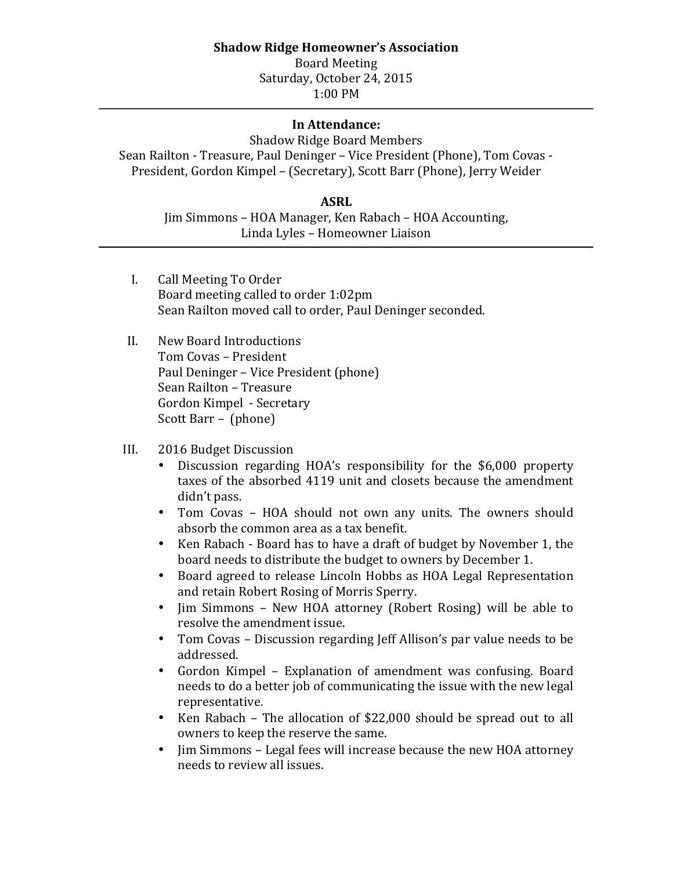## **Shadow Ridge Homeowner's Association**

Board Meeting Saturday, October 24, 2015 1:00 PM

## **In Attendance:**

## Shadow Ridge Board Members

Sean Railton - Treasure, Paul Deninger - Vice President (Phone), Tom Covas -President, Gordon Kimpel – (Secretary), Scott Barr (Phone), Jerry Weider

## **ASRL**

Jim Simmons – HOA Manager, Ken Rabach – HOA Accounting, Linda Lyles – Homeowner Liaison

- I. Call Meeting To Order Board meeting called to order 1:02pm Sean Railton moved call to order, Paul Deninger seconded.
- II. New Board Introductions Tom Covas - President Paul Deninger – Vice President (phone) Sean Railton - Treasure Gordon Kimpel - Secretary Scott Barr – (phone)
- III. 2016 Budget Discussion
	- Discussion regarding HOA's responsibility for the \$6,000 property taxes of the absorbed 4119 unit and closets because the amendment didn't pass.
	- Tom Covas HOA should not own any units. The owners should absorb the common area as a tax benefit.
	- Ken Rabach Board has to have a draft of budget by November 1, the board needs to distribute the budget to owners by December 1.
	- Board agreed to release Lincoln Hobbs as HOA Legal Representation and retain Robert Rosing of Morris Sperry.
	- Jim Simmons New HOA attorney (Robert Rosing) will be able to resolve the amendment issue.
	- Tom Covas Discussion regarding Jeff Allison's par value needs to be addressed.
	- Gordon Kimpel Explanation of amendment was confusing. Board needs to do a better job of communicating the issue with the new legal representative.
	- Ken Rabach The allocation of \$22,000 should be spread out to all owners to keep the reserve the same.
	- Jim Simmons Legal fees will increase because the new HOA attorney needs to review all issues.